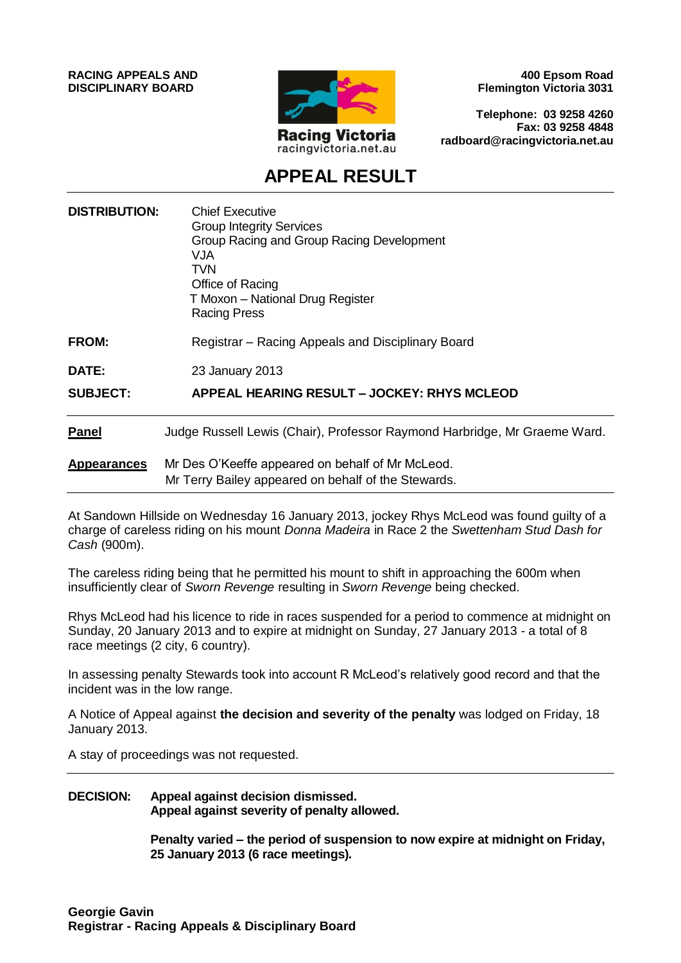**RACING APPEALS AND DISCIPLINARY BOARD**



**400 Epsom Road Flemington Victoria 3031**

**Telephone: 03 9258 4260 Fax: 03 9258 4848 radboard@racingvictoria.net.au**

## **APPEAL RESULT**

| <b>DISTRIBUTION:</b> | <b>Chief Executive</b><br><b>Group Integrity Services</b><br>Group Racing and Group Racing Development<br><b>VJA</b><br>TVN<br>Office of Racing<br>T Moxon - National Drug Register<br><b>Racing Press</b> |
|----------------------|------------------------------------------------------------------------------------------------------------------------------------------------------------------------------------------------------------|
| <b>FROM:</b>         | Registrar – Racing Appeals and Disciplinary Board                                                                                                                                                          |
| <b>DATE:</b>         | 23 January 2013                                                                                                                                                                                            |
| <b>SUBJECT:</b>      | APPEAL HEARING RESULT - JOCKEY: RHYS MCLEOD                                                                                                                                                                |
| <b>Panel</b>         | Judge Russell Lewis (Chair), Professor Raymond Harbridge, Mr Graeme Ward.                                                                                                                                  |
| <b>Appearances</b>   | Mr Des O'Keeffe appeared on behalf of Mr McLeod.<br>Mr Terry Bailey appeared on behalf of the Stewards.                                                                                                    |

At Sandown Hillside on Wednesday 16 January 2013, jockey Rhys McLeod was found guilty of a charge of careless riding on his mount *Donna Madeira* in Race 2 the *Swettenham Stud Dash for Cash* (900m).

The careless riding being that he permitted his mount to shift in approaching the 600m when insufficiently clear of *Sworn Revenge* resulting in *Sworn Revenge* being checked.

Rhys McLeod had his licence to ride in races suspended for a period to commence at midnight on Sunday, 20 January 2013 and to expire at midnight on Sunday, 27 January 2013 - a total of 8 race meetings (2 city, 6 country).

In assessing penalty Stewards took into account R McLeod's relatively good record and that the incident was in the low range.

A Notice of Appeal against **the decision and severity of the penalty** was lodged on Friday, 18 January 2013.

A stay of proceedings was not requested.

#### **DECISION: Appeal against decision dismissed. Appeal against severity of penalty allowed.**

**Penalty varied – the period of suspension to now expire at midnight on Friday, 25 January 2013 (6 race meetings).**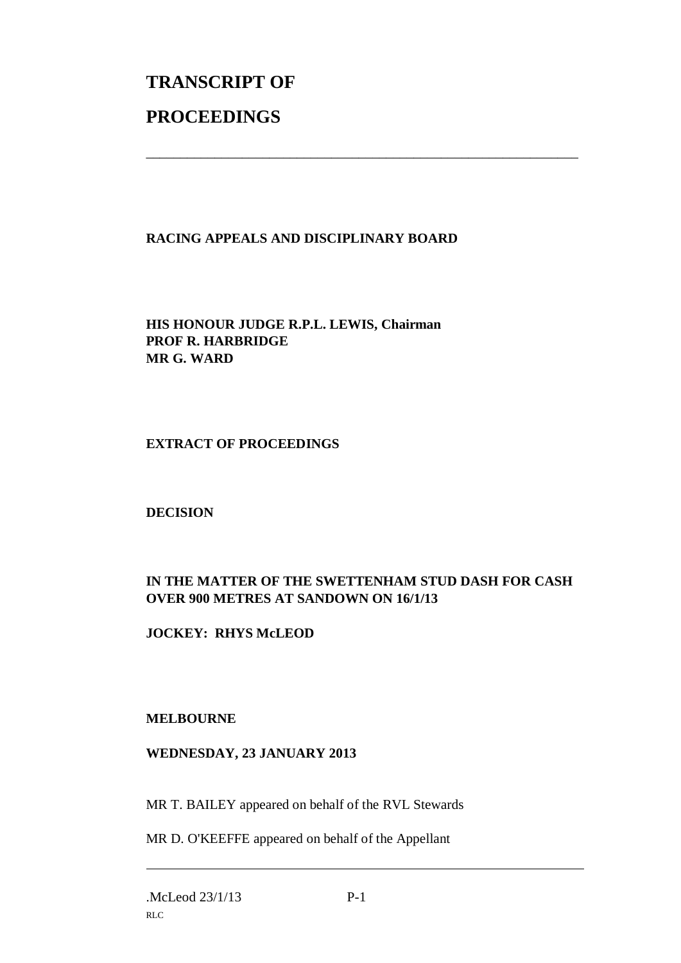# **TRANSCRIPT OF PROCEEDINGS**

#### **RACING APPEALS AND DISCIPLINARY BOARD**

\_\_\_\_\_\_\_\_\_\_\_\_\_\_\_\_\_\_\_\_\_\_\_\_\_\_\_\_\_\_\_\_\_\_\_\_\_\_\_\_\_\_\_\_\_\_\_\_\_\_\_\_\_\_\_\_\_\_\_\_\_\_\_

**HIS HONOUR JUDGE R.P.L. LEWIS, Chairman PROF R. HARBRIDGE MR G. WARD**

#### **EXTRACT OF PROCEEDINGS**

#### **DECISION**

### **IN THE MATTER OF THE SWETTENHAM STUD DASH FOR CASH OVER 900 METRES AT SANDOWN ON 16/1/13**

**JOCKEY: RHYS McLEOD**

#### **MELBOURNE**

#### **WEDNESDAY, 23 JANUARY 2013**

MR T. BAILEY appeared on behalf of the RVL Stewards

MR D. O'KEEFFE appeared on behalf of the Appellant